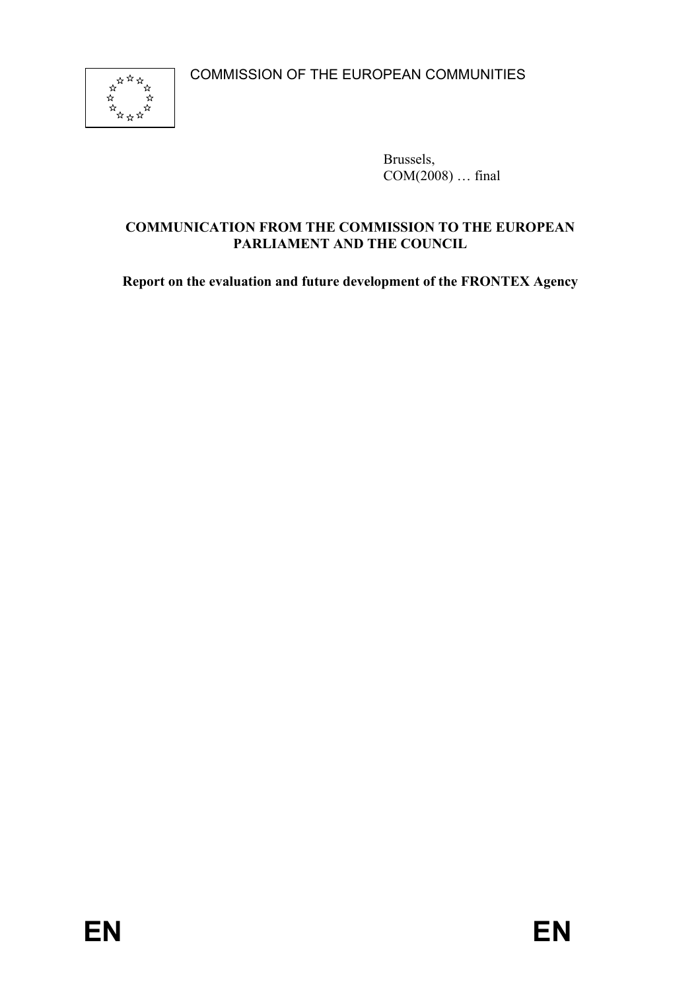

Brussels,  $COM(2008) \dots$  final

# **COMMUNICATION FROM THE COMMISSION TO THE EUROPEAN PARLIAMENT AND THE COUNCIL**

**Report on the evaluation and future development of the FRONTEX Agency**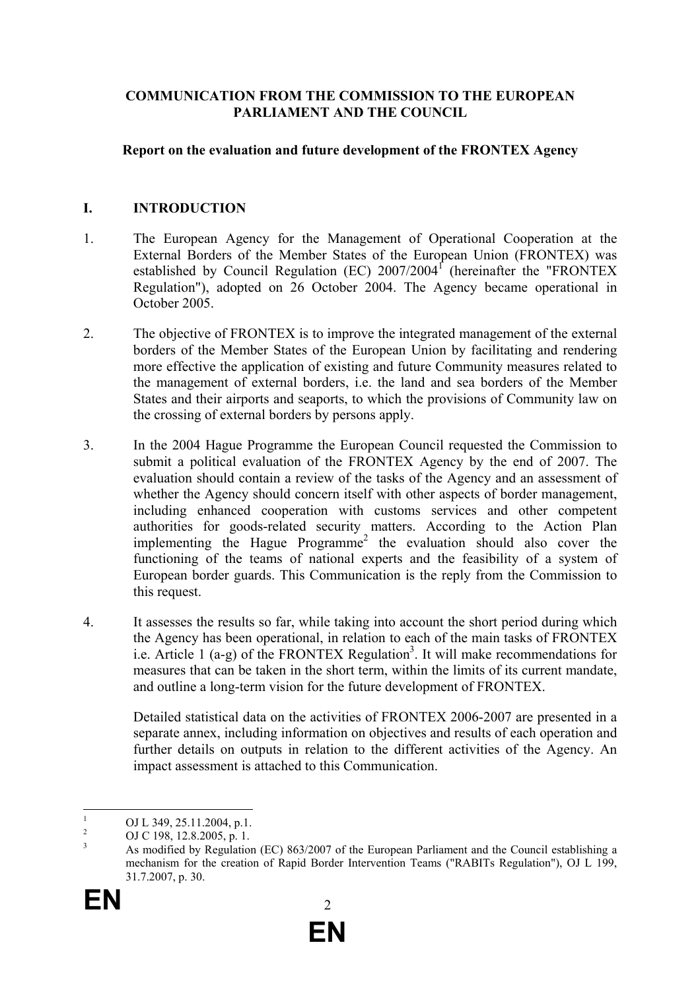### **COMMUNICATION FROM THE COMMISSION TO THE EUROPEAN PARLIAMENT AND THE COUNCIL**

### **Report on the evaluation and future development of the FRONTEX Agency**

### **I. INTRODUCTION**

- 1. The European Agency for the Management of Operational Cooperation at the External Borders of the Member States of the European Union (FRONTEX) was established by Council Regulation (EC)  $2007/2004$ <sup>f</sup> (hereinafter the "FRONTEX Regulation"), adopted on 26 October 2004. The Agency became operational in October 2005.
- 2. The objective of FRONTEX is to improve the integrated management of the external borders of the Member States of the European Union by facilitating and rendering more effective the application of existing and future Community measures related to the management of external borders, i.e. the land and sea borders of the Member States and their airports and seaports, to which the provisions of Community law on the crossing of external borders by persons apply.
- 3. In the 2004 Hague Programme the European Council requested the Commission to submit a political evaluation of the FRONTEX Agency by the end of 2007. The evaluation should contain a review of the tasks of the Agency and an assessment of whether the Agency should concern itself with other aspects of border management, including enhanced cooperation with customs services and other competent authorities for goods-related security matters. According to the Action Plan implementing the Hague Programme<sup>2</sup> the evaluation should also cover the functioning of the teams of national experts and the feasibility of a system of European border guards. This Communication is the reply from the Commission to this request.
- 4. It assesses the results so far, while taking into account the short period during which the Agency has been operational, in relation to each of the main tasks of FRONTEX i.e. Article 1  $(a-g)$  of the FRONTEX Regulation<sup>3</sup>. It will make recommendations for measures that can be taken in the short term, within the limits of its current mandate, and outline a long-term vision for the future development of FRONTEX.

Detailed statistical data on the activities of FRONTEX 2006-2007 are presented in a separate annex, including information on objectives and results of each operation and further details on outputs in relation to the different activities of the Agency. An impact assessment is attached to this Communication.

 $\frac{1}{1}$ OJ L 349, 25.11.2004, p.1.

<sup>2</sup> OJ C 198, 12.8.2005, p. 1.

<sup>3</sup> As modified by Regulation (EC) 863/2007 of the European Parliament and the Council establishing a mechanism for the creation of Rapid Border Intervention Teams ("RABITs Regulation"), OJ L 199, 31.7.2007, p. 30.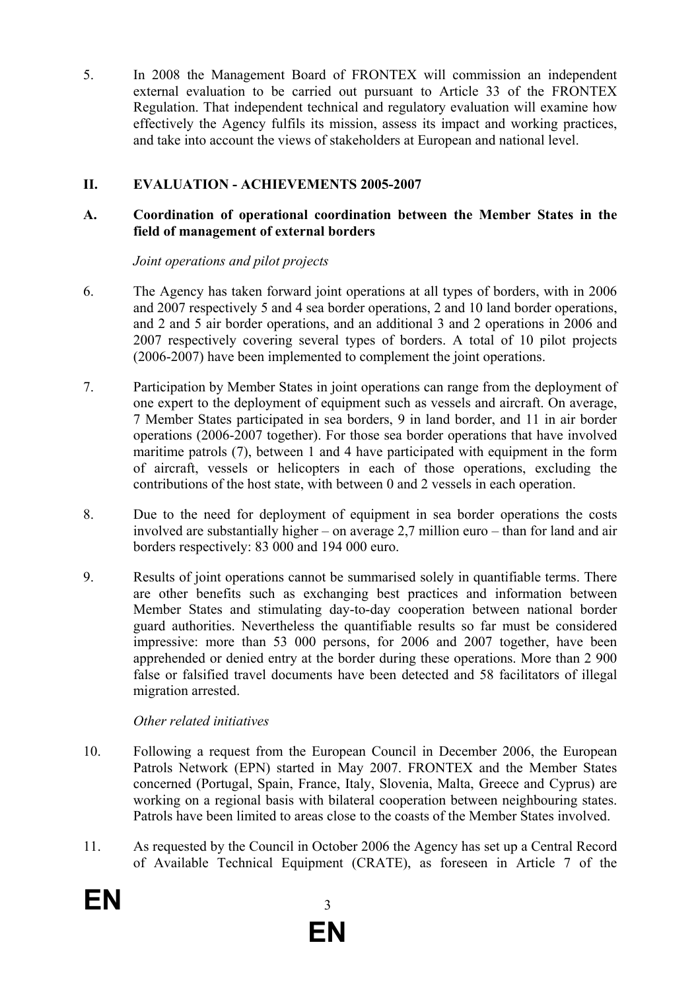5. In 2008 the Management Board of FRONTEX will commission an independent external evaluation to be carried out pursuant to Article 33 of the FRONTEX Regulation. That independent technical and regulatory evaluation will examine how effectively the Agency fulfils its mission, assess its impact and working practices, and take into account the views of stakeholders at European and national level.

# **II. EVALUATION - ACHIEVEMENTS 2005-2007**

### **A. Coordination of operational coordination between the Member States in the field of management of external borders**

### *Joint operations and pilot projects*

- 6. The Agency has taken forward joint operations at all types of borders, with in 2006 and 2007 respectively 5 and 4 sea border operations, 2 and 10 land border operations, and 2 and 5 air border operations, and an additional 3 and 2 operations in 2006 and 2007 respectively covering several types of borders. A total of 10 pilot projects (2006-2007) have been implemented to complement the joint operations.
- 7. Participation by Member States in joint operations can range from the deployment of one expert to the deployment of equipment such as vessels and aircraft. On average, 7 Member States participated in sea borders, 9 in land border, and 11 in air border operations (2006-2007 together). For those sea border operations that have involved maritime patrols (7), between 1 and 4 have participated with equipment in the form of aircraft, vessels or helicopters in each of those operations, excluding the contributions of the host state, with between 0 and 2 vessels in each operation.
- 8. Due to the need for deployment of equipment in sea border operations the costs involved are substantially higher – on average 2,7 million euro – than for land and air borders respectively: 83 000 and 194 000 euro.
- 9. Results of joint operations cannot be summarised solely in quantifiable terms. There are other benefits such as exchanging best practices and information between Member States and stimulating day-to-day cooperation between national border guard authorities. Nevertheless the quantifiable results so far must be considered impressive: more than 53 000 persons, for 2006 and 2007 together, have been apprehended or denied entry at the border during these operations. More than 2 900 false or falsified travel documents have been detected and 58 facilitators of illegal migration arrested.

# *Other related initiatives*

- 10. Following a request from the European Council in December 2006, the European Patrols Network (EPN) started in May 2007. FRONTEX and the Member States concerned (Portugal, Spain, France, Italy, Slovenia, Malta, Greece and Cyprus) are working on a regional basis with bilateral cooperation between neighbouring states. Patrols have been limited to areas close to the coasts of the Member States involved.
- 11. As requested by the Council in October 2006 the Agency has set up a Central Record of Available Technical Equipment (CRATE), as foreseen in Article 7 of the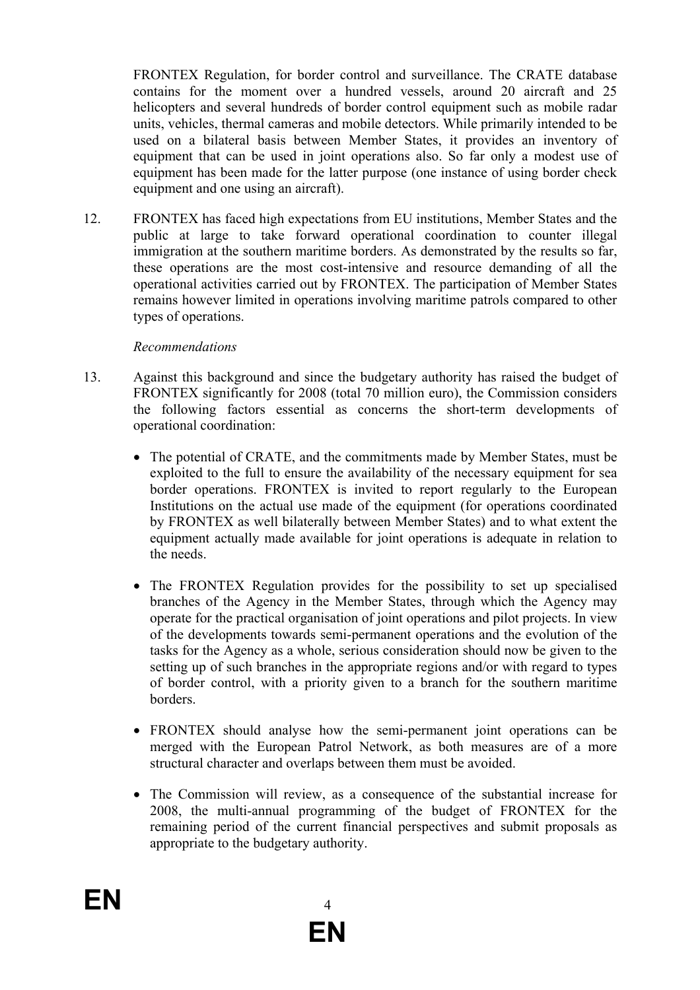FRONTEX Regulation, for border control and surveillance. The CRATE database contains for the moment over a hundred vessels, around 20 aircraft and 25 helicopters and several hundreds of border control equipment such as mobile radar units, vehicles, thermal cameras and mobile detectors. While primarily intended to be used on a bilateral basis between Member States, it provides an inventory of equipment that can be used in joint operations also. So far only a modest use of equipment has been made for the latter purpose (one instance of using border check equipment and one using an aircraft).

12. FRONTEX has faced high expectations from EU institutions, Member States and the public at large to take forward operational coordination to counter illegal immigration at the southern maritime borders. As demonstrated by the results so far, these operations are the most cost-intensive and resource demanding of all the operational activities carried out by FRONTEX. The participation of Member States remains however limited in operations involving maritime patrols compared to other types of operations.

#### *Recommendations*

- 13. Against this background and since the budgetary authority has raised the budget of FRONTEX significantly for 2008 (total 70 million euro), the Commission considers the following factors essential as concerns the short-term developments of operational coordination:
	- The potential of CRATE, and the commitments made by Member States, must be exploited to the full to ensure the availability of the necessary equipment for sea border operations. FRONTEX is invited to report regularly to the European Institutions on the actual use made of the equipment (for operations coordinated by FRONTEX as well bilaterally between Member States) and to what extent the equipment actually made available for joint operations is adequate in relation to the needs.
	- The FRONTEX Regulation provides for the possibility to set up specialised branches of the Agency in the Member States, through which the Agency may operate for the practical organisation of joint operations and pilot projects. In view of the developments towards semi-permanent operations and the evolution of the tasks for the Agency as a whole, serious consideration should now be given to the setting up of such branches in the appropriate regions and/or with regard to types of border control, with a priority given to a branch for the southern maritime borders.
	- FRONTEX should analyse how the semi-permanent joint operations can be merged with the European Patrol Network, as both measures are of a more structural character and overlaps between them must be avoided.
	- The Commission will review, as a consequence of the substantial increase for 2008, the multi-annual programming of the budget of FRONTEX for the remaining period of the current financial perspectives and submit proposals as appropriate to the budgetary authority.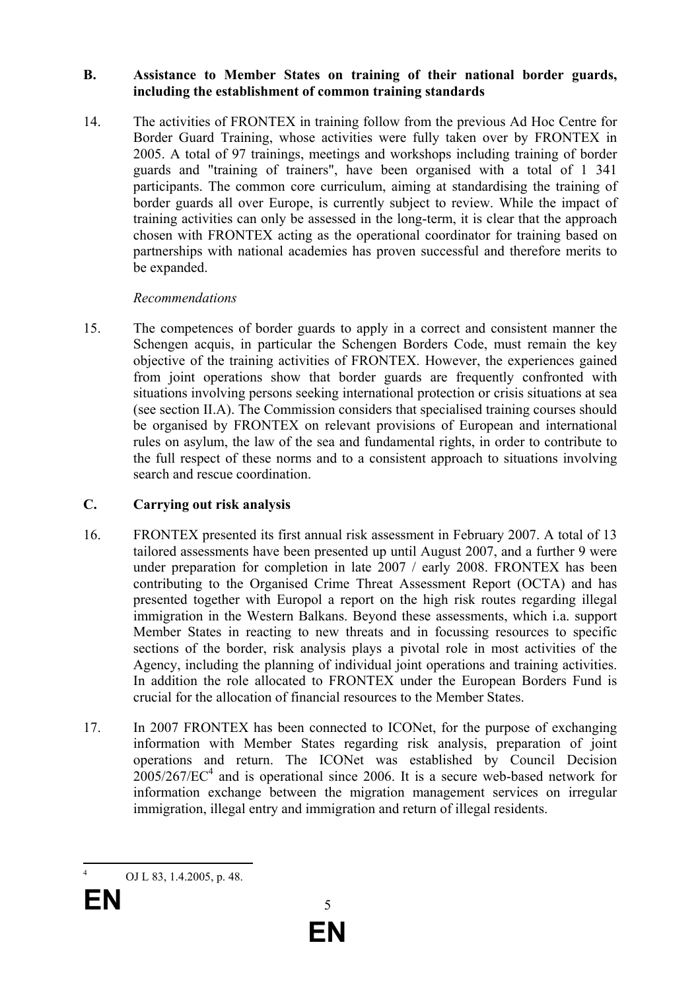#### **B. Assistance to Member States on training of their national border guards, including the establishment of common training standards**

14. The activities of FRONTEX in training follow from the previous Ad Hoc Centre for Border Guard Training, whose activities were fully taken over by FRONTEX in 2005. A total of 97 trainings, meetings and workshops including training of border guards and "training of trainers", have been organised with a total of 1 341 participants. The common core curriculum, aiming at standardising the training of border guards all over Europe, is currently subject to review. While the impact of training activities can only be assessed in the long-term, it is clear that the approach chosen with FRONTEX acting as the operational coordinator for training based on partnerships with national academies has proven successful and therefore merits to be expanded.

# *Recommendations*

15. The competences of border guards to apply in a correct and consistent manner the Schengen acquis, in particular the Schengen Borders Code, must remain the key objective of the training activities of FRONTEX. However, the experiences gained from joint operations show that border guards are frequently confronted with situations involving persons seeking international protection or crisis situations at sea (see section II.A). The Commission considers that specialised training courses should be organised by FRONTEX on relevant provisions of European and international rules on asylum, the law of the sea and fundamental rights, in order to contribute to the full respect of these norms and to a consistent approach to situations involving search and rescue coordination.

# **C. Carrying out risk analysis**

- 16. FRONTEX presented its first annual risk assessment in February 2007. A total of 13 tailored assessments have been presented up until August 2007, and a further 9 were under preparation for completion in late 2007 / early 2008. FRONTEX has been contributing to the Organised Crime Threat Assessment Report (OCTA) and has presented together with Europol a report on the high risk routes regarding illegal immigration in the Western Balkans. Beyond these assessments, which i.a. support Member States in reacting to new threats and in focussing resources to specific sections of the border, risk analysis plays a pivotal role in most activities of the Agency, including the planning of individual joint operations and training activities. In addition the role allocated to FRONTEX under the European Borders Fund is crucial for the allocation of financial resources to the Member States.
- 17. In 2007 FRONTEX has been connected to ICONet, for the purpose of exchanging information with Member States regarding risk analysis, preparation of joint operations and return. The ICONet was established by Council Decision  $2005/267/EC<sup>4</sup>$  and is operational since 2006. It is a secure web-based network for information exchange between the migration management services on irregular immigration, illegal entry and immigration and return of illegal residents.

<sup>1</sup> 4 OJ L 83, 1.4.2005, p. 48.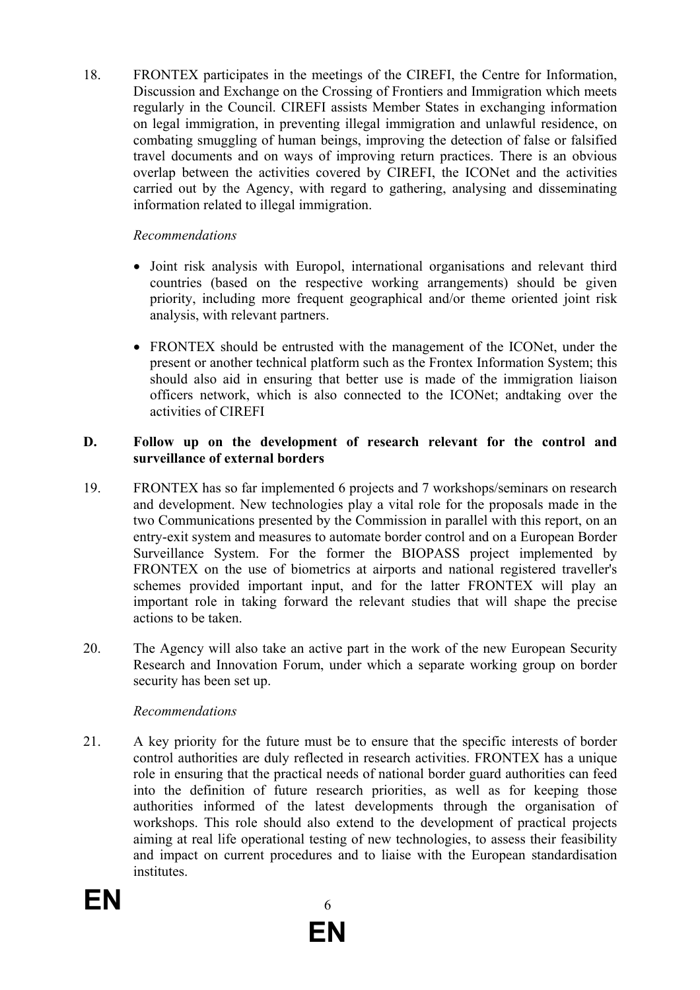18. FRONTEX participates in the meetings of the CIREFI, the Centre for Information, Discussion and Exchange on the Crossing of Frontiers and Immigration which meets regularly in the Council. CIREFI assists Member States in exchanging information on legal immigration, in preventing illegal immigration and unlawful residence, on combating smuggling of human beings, improving the detection of false or falsified travel documents and on ways of improving return practices. There is an obvious overlap between the activities covered by CIREFI, the ICONet and the activities carried out by the Agency, with regard to gathering, analysing and disseminating information related to illegal immigration.

# *Recommendations*

- Joint risk analysis with Europol, international organisations and relevant third countries (based on the respective working arrangements) should be given priority, including more frequent geographical and/or theme oriented joint risk analysis, with relevant partners.
- FRONTEX should be entrusted with the management of the ICONet, under the present or another technical platform such as the Frontex Information System; this should also aid in ensuring that better use is made of the immigration liaison officers network, which is also connected to the ICONet; andtaking over the activities of CIREFI

#### **D. Follow up on the development of research relevant for the control and surveillance of external borders**

- 19. FRONTEX has so far implemented 6 projects and 7 workshops/seminars on research and development. New technologies play a vital role for the proposals made in the two Communications presented by the Commission in parallel with this report, on an entry-exit system and measures to automate border control and on a European Border Surveillance System. For the former the BIOPASS project implemented by FRONTEX on the use of biometrics at airports and national registered traveller's schemes provided important input, and for the latter FRONTEX will play an important role in taking forward the relevant studies that will shape the precise actions to be taken.
- 20. The Agency will also take an active part in the work of the new European Security Research and Innovation Forum, under which a separate working group on border security has been set up.

#### *Recommendations*

21. A key priority for the future must be to ensure that the specific interests of border control authorities are duly reflected in research activities. FRONTEX has a unique role in ensuring that the practical needs of national border guard authorities can feed into the definition of future research priorities, as well as for keeping those authorities informed of the latest developments through the organisation of workshops. This role should also extend to the development of practical projects aiming at real life operational testing of new technologies, to assess their feasibility and impact on current procedures and to liaise with the European standardisation *institutes*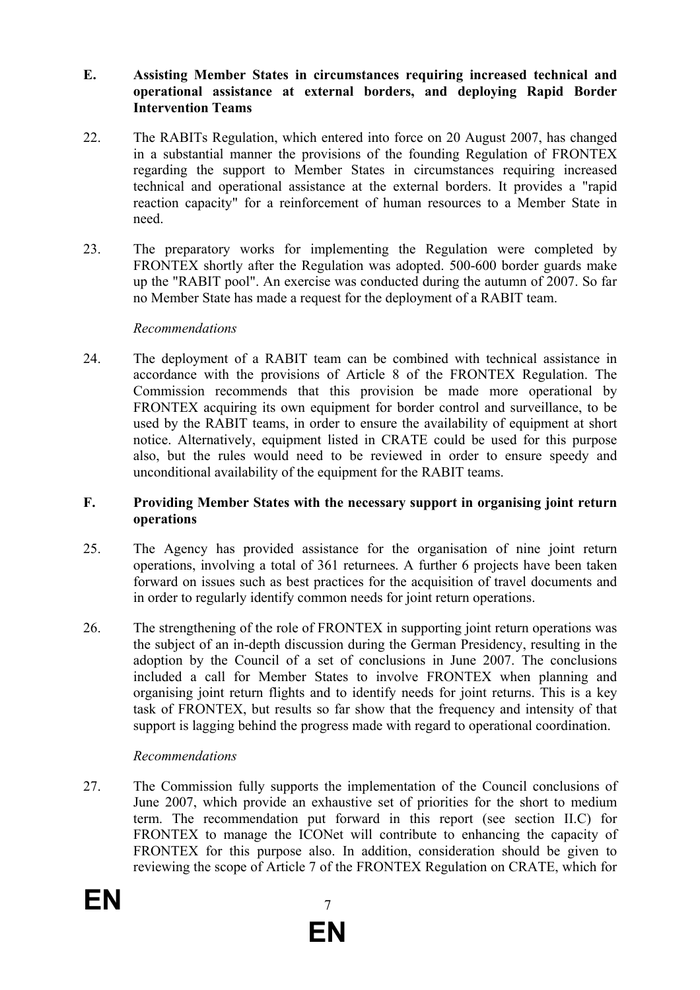#### **E. Assisting Member States in circumstances requiring increased technical and operational assistance at external borders, and deploying Rapid Border Intervention Teams**

- 22. The RABITs Regulation, which entered into force on 20 August 2007, has changed in a substantial manner the provisions of the founding Regulation of FRONTEX regarding the support to Member States in circumstances requiring increased technical and operational assistance at the external borders. It provides a "rapid reaction capacity" for a reinforcement of human resources to a Member State in need.
- 23. The preparatory works for implementing the Regulation were completed by FRONTEX shortly after the Regulation was adopted. 500-600 border guards make up the "RABIT pool". An exercise was conducted during the autumn of 2007. So far no Member State has made a request for the deployment of a RABIT team.

#### *Recommendations*

24. The deployment of a RABIT team can be combined with technical assistance in accordance with the provisions of Article 8 of the FRONTEX Regulation. The Commission recommends that this provision be made more operational by FRONTEX acquiring its own equipment for border control and surveillance, to be used by the RABIT teams, in order to ensure the availability of equipment at short notice. Alternatively, equipment listed in CRATE could be used for this purpose also, but the rules would need to be reviewed in order to ensure speedy and unconditional availability of the equipment for the RABIT teams.

#### **F. Providing Member States with the necessary support in organising joint return operations**

- 25. The Agency has provided assistance for the organisation of nine joint return operations, involving a total of 361 returnees. A further 6 projects have been taken forward on issues such as best practices for the acquisition of travel documents and in order to regularly identify common needs for joint return operations.
- 26. The strengthening of the role of FRONTEX in supporting joint return operations was the subject of an in-depth discussion during the German Presidency, resulting in the adoption by the Council of a set of conclusions in June 2007. The conclusions included a call for Member States to involve FRONTEX when planning and organising joint return flights and to identify needs for joint returns. This is a key task of FRONTEX, but results so far show that the frequency and intensity of that support is lagging behind the progress made with regard to operational coordination.

#### *Recommendations*

27. The Commission fully supports the implementation of the Council conclusions of June 2007, which provide an exhaustive set of priorities for the short to medium term. The recommendation put forward in this report (see section II.C) for FRONTEX to manage the ICONet will contribute to enhancing the capacity of FRONTEX for this purpose also. In addition, consideration should be given to reviewing the scope of Article 7 of the FRONTEX Regulation on CRATE, which for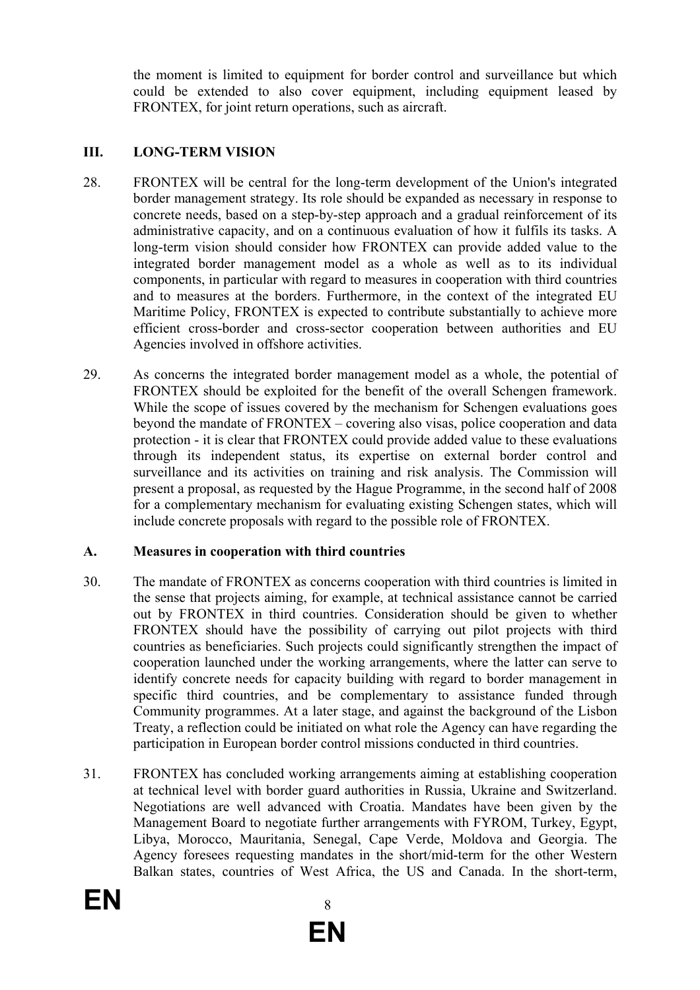the moment is limited to equipment for border control and surveillance but which could be extended to also cover equipment, including equipment leased by FRONTEX, for joint return operations, such as aircraft.

# **III. LONG-TERM VISION**

- 28. FRONTEX will be central for the long-term development of the Union's integrated border management strategy. Its role should be expanded as necessary in response to concrete needs, based on a step-by-step approach and a gradual reinforcement of its administrative capacity, and on a continuous evaluation of how it fulfils its tasks. A long-term vision should consider how FRONTEX can provide added value to the integrated border management model as a whole as well as to its individual components, in particular with regard to measures in cooperation with third countries and to measures at the borders. Furthermore, in the context of the integrated EU Maritime Policy, FRONTEX is expected to contribute substantially to achieve more efficient cross-border and cross-sector cooperation between authorities and EU Agencies involved in offshore activities.
- 29. As concerns the integrated border management model as a whole, the potential of FRONTEX should be exploited for the benefit of the overall Schengen framework. While the scope of issues covered by the mechanism for Schengen evaluations goes beyond the mandate of FRONTEX – covering also visas, police cooperation and data protection - it is clear that FRONTEX could provide added value to these evaluations through its independent status, its expertise on external border control and surveillance and its activities on training and risk analysis. The Commission will present a proposal, as requested by the Hague Programme, in the second half of 2008 for a complementary mechanism for evaluating existing Schengen states, which will include concrete proposals with regard to the possible role of FRONTEX.

#### **A. Measures in cooperation with third countries**

- 30. The mandate of FRONTEX as concerns cooperation with third countries is limited in the sense that projects aiming, for example, at technical assistance cannot be carried out by FRONTEX in third countries. Consideration should be given to whether FRONTEX should have the possibility of carrying out pilot projects with third countries as beneficiaries. Such projects could significantly strengthen the impact of cooperation launched under the working arrangements, where the latter can serve to identify concrete needs for capacity building with regard to border management in specific third countries, and be complementary to assistance funded through Community programmes. At a later stage, and against the background of the Lisbon Treaty, a reflection could be initiated on what role the Agency can have regarding the participation in European border control missions conducted in third countries.
- 31. FRONTEX has concluded working arrangements aiming at establishing cooperation at technical level with border guard authorities in Russia, Ukraine and Switzerland. Negotiations are well advanced with Croatia. Mandates have been given by the Management Board to negotiate further arrangements with FYROM, Turkey, Egypt, Libya, Morocco, Mauritania, Senegal, Cape Verde, Moldova and Georgia. The Agency foresees requesting mandates in the short/mid-term for the other Western Balkan states, countries of West Africa, the US and Canada. In the short-term,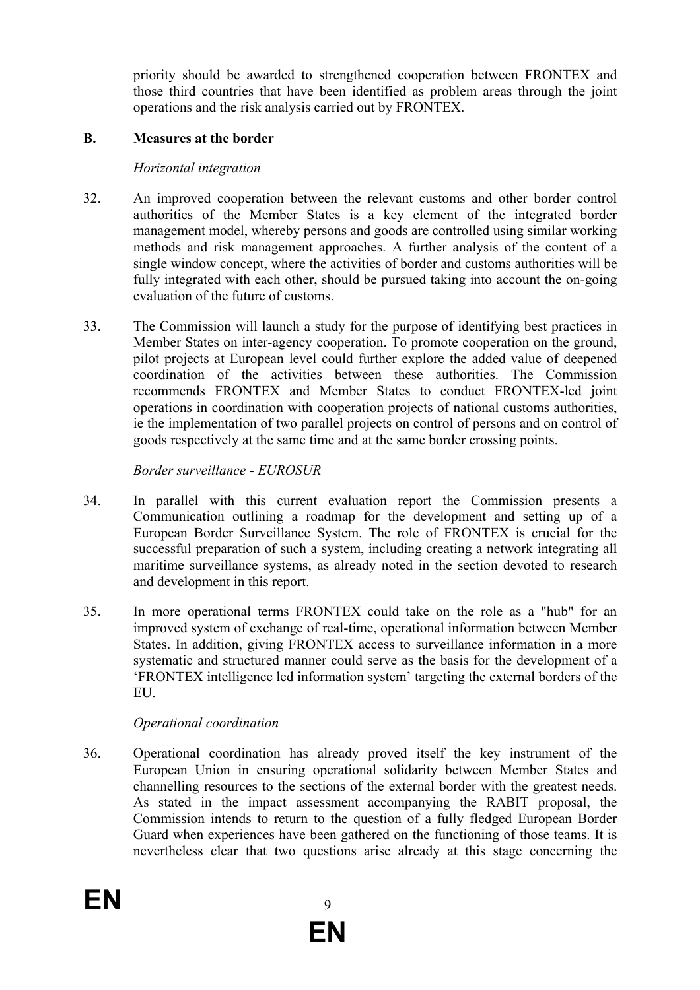priority should be awarded to strengthened cooperation between FRONTEX and those third countries that have been identified as problem areas through the joint operations and the risk analysis carried out by FRONTEX.

### **B. Measures at the border**

### *Horizontal integration*

- 32. An improved cooperation between the relevant customs and other border control authorities of the Member States is a key element of the integrated border management model, whereby persons and goods are controlled using similar working methods and risk management approaches. A further analysis of the content of a single window concept, where the activities of border and customs authorities will be fully integrated with each other, should be pursued taking into account the on-going evaluation of the future of customs.
- 33. The Commission will launch a study for the purpose of identifying best practices in Member States on inter-agency cooperation. To promote cooperation on the ground, pilot projects at European level could further explore the added value of deepened coordination of the activities between these authorities. The Commission recommends FRONTEX and Member States to conduct FRONTEX-led joint operations in coordination with cooperation projects of national customs authorities, ie the implementation of two parallel projects on control of persons and on control of goods respectively at the same time and at the same border crossing points.

# *Border surveillance - EUROSUR*

- 34. In parallel with this current evaluation report the Commission presents a Communication outlining a roadmap for the development and setting up of a European Border Surveillance System. The role of FRONTEX is crucial for the successful preparation of such a system, including creating a network integrating all maritime surveillance systems, as already noted in the section devoted to research and development in this report.
- 35. In more operational terms FRONTEX could take on the role as a "hub" for an improved system of exchange of real-time, operational information between Member States. In addition, giving FRONTEX access to surveillance information in a more systematic and structured manner could serve as the basis for the development of a 'FRONTEX intelligence led information system' targeting the external borders of the EU.

# *Operational coordination*

36. Operational coordination has already proved itself the key instrument of the European Union in ensuring operational solidarity between Member States and channelling resources to the sections of the external border with the greatest needs. As stated in the impact assessment accompanying the RABIT proposal, the Commission intends to return to the question of a fully fledged European Border Guard when experiences have been gathered on the functioning of those teams. It is nevertheless clear that two questions arise already at this stage concerning the